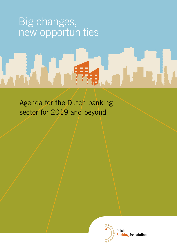# Big changes, new opportunities

Agenda for the Dutch banking sector for 2019 and beyond

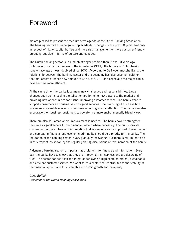# Foreword

We are pleased to present the medium-term agenda of the Dutch Banking Association. The banking sector has undergone unprecedented changes in the past 10 years. Not only in respect of higher capital buffers and more risk management or more customer-friendly products, but also in terms of culture and conduct.

The Dutch banking sector is in a much stronger position than it was 10 years ago. In terms of core capital (known in the industry as CET1), the buffers of Dutch banks have on average at least doubled since 2007. According to De Nederlandsche Bank, the relationship between the banking sector and the economy has also become healthier – the total assets of banks now amount to 336% of GDP – and especially the major banks have become more efficient.

At the same time, the banks face many new challenges and responsibilities. Large changes such as increasing digitalisation are bringing new players to the market and providing new opportunities for further improving customer service. The banks want to support consumers and businesses with good services. The financing of the transition to a more sustainable economy is an issue requiring special attention. The banks can also encourage their business customers to operate in a more environmentally friendly way.

There are also still areas where improvement is needed. The banks have to strengthen their role as gatekeepers for the financial system where necessary. The public-private cooperation in the exchange of information that is needed can be improved. Prevention of and combating financial and economic criminality should be a priority for the banks. The reputation of the banking sector is very gradually recovering. But there is still much to do in this respect, as shown by the regularly flaring discussions of remuneration at the banks.

A dynamic banking sector is important as a platform for finance and information. Every day, the banks have to show that they are improving their services and are deserving of trust. The sector has set itself the target of achieving a high score on ethical, sustainable and efficient customer service. We want to be a sector that contributes to the stability of the financial system and to sustainable economic growth and prosperity.

*Chris Buijink President of the Dutch Banking Association*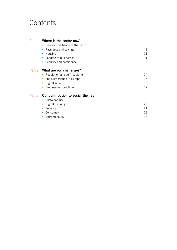# **Contents**

# Part I **Where is the sector now?**

| • Size and resilience of the sector                                                                                                            | 5                    |
|------------------------------------------------------------------------------------------------------------------------------------------------|----------------------|
| • Payments and savings                                                                                                                         | 9                    |
| • Housing                                                                                                                                      | 11                   |
| • Lending to businesses                                                                                                                        | 11                   |
| • Security and confidence                                                                                                                      | 12 <sup>°</sup>      |
| Part 2 What are our challenges?<br>• Regulation and self-regulation<br>• The Netherlands in Europe<br>Digitalisation<br>• Employment practices | 14<br>15<br>16<br>17 |

# Part 3 **Our contribution to social themes**

| • Sustainability           | 19 |
|----------------------------|----|
| • Digital banking          | 20 |
| • Security                 | 21 |
| • Consumers                | 22 |
| Entrepreneurs<br>$\bullet$ | 23 |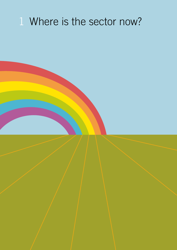# Where is the sector now?

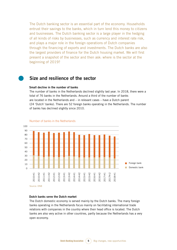The Dutch banking sector is an essential part of the economy. Households entrust their savings to the banks, which in turn lend this money to citizens and businesses. The Dutch banking sector is a large player in the hedging of all kinds of risks by businesses, such as currency and interest rate risk, and plays a major role in the foreign operations of Dutch companies through the financing of exports and investments. The Dutch banks are also the largest providers of finance for the Dutch housing market. We will first present a snapshot of the sector and then ask: where is the sector at the beginning of 2019?

# **Size and resilience of the sector**

#### **Small decline in the number of banks**

The number of banks in the Netherlands declined slightly last year. In 2018, there were a total of 76 banks in the Netherlands. Around a third of the number of banks are located in the Netherlands and – in relevant cases – have a Dutch parent (24 'Dutch' banks). There are 52 foreign banks operating in the Netherlands. The number of banks has declined slightly since 2010.



#### Number of banks in the Netherlands

#### **Dutch banks serve the Dutch market**

The Dutch domestic economy is served mainly by the Dutch banks. The many foreign banks operating in the Netherlands focus mainly on facilitating international trade relations with companies in the country where their head office is located. The Dutch banks are also very active in other countries, partly because the Netherlands has a very open economy.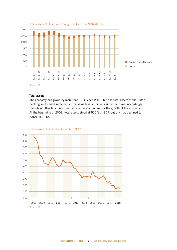

#### Total assets of Dutch and foreign banks in the Netherlands

#### **Total assets**

The economy has grown by more than 11% since 2013, but the total assets of the Dutch banking sector have remained at the same level in billions since that time. Accordingly, the role of other financiers has become more important for the growth of the economy. At the beginning of 2008, total assets stood at 550% of GDP, but this has declined to 336% in 2018.



Total assets of Dutch banks as % of GDP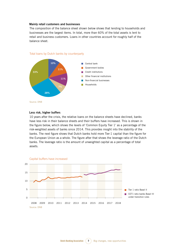#### **Mainly retail customers and businesses**

The composition of the balance sheet shown below shows that lending to households and businesses are the largest items. In total, more than 60% of the total assets is lent to retail and business customers. Loans in other countries account for roughly half of the balance sheet.



#### Total loans by Dutch banks by counterparty

Source: DNB

#### **Less risk, higher buffers**

10 years after the crisis, the relative loans on the balance sheets have declined, banks have less risk in their balance sheets and their buffers have increased. This is shown in the figure below, which shows the levels of 'Common Equity Tier 1' as a percentage of the risk-weighted assets of banks since 2014. This provides insight into the stability of the banks. The next figure shows that Dutch banks hold more Tier-1 capital than the figure for the European Union as a whole. The figure after that shows the leverage ratio of the Dutch banks. The leverage ratio is the amount of unweighted capital as a percentage of total assets.

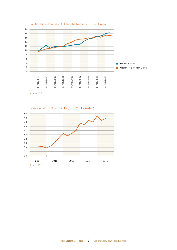

#### Capital ratios of banks in EU and the Netherlands Tier 1 ratio

Leverage ratio of Dutch banks (CRD IV fully loaded)

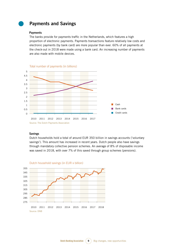# **Payments and Savings**

#### **Payments**

The banks provide for payments traffic in the Netherlands, which features a high proportion of electronic payments. Payments transactions feature relatively low costs and electronic payments (by bank card) are more popular than ever. 60% of all payments at the check-out in 2018 were made using a bank card. An increasing number of payments are also made with mobile devices.



Total number of payments (in billions)

#### **Savings**

Dutch households hold a total of around EUR 350 billion in savings accounts ('voluntary savings'). This amount has increased in recent years. Dutch people also have savings through mandatory collective pension schemes. An average of 8% of disposable income was saved in 2018, with over 7% of this saved through group schemes (pensions).



Dutch household savings (in EUR x billion)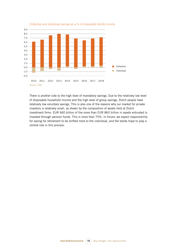

Collective and individual savings as a % of disposable family income

There is another side to the high level of mandatory savings. Due to the relatively low level of disposable household income and the high level of group savings, Dutch people have relatively low voluntary savings. This is also one of the reasons why our market for private investors is relatively small, as shown by the composition of assets held at Dutch investment firms. EUR 660 billion of the more than EUR 860 billion in assets entrusted is invested through pension funds. This is more than 75%. In future, we expect responsibility for saving for retirement to be shifted more to the individual, and the banks hope to play a central role in this process.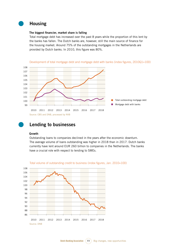

# **Housing**

#### **The biggest financier, market share is falling**

Total mortgage debt has increased over the past 8 years while the proportion of this lent by the banks has fallen. The Dutch banks are, however, still the main source of finance for the housing market. Around 75% of the outstanding mortgages in the Netherlands are provided by Dutch banks. In 2010, this figure was 80%.





# **Lending to businesses**

#### **Growth**

Outstanding loans to companies declined in the years after the economic downturn. The average volume of loans outstanding was higher in 2018 than in 2017. Dutch banks currently have lent around EUR 260 billion to companies in the Netherlands. The banks have a crucial role with respect to lending to SMEs.



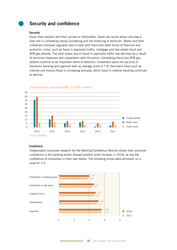# **Security and confidence**

#### **Security**

Given their position and their access to information, banks are social actors and play a vital role in combating money laundering and the financing of terrorism. Banks and their customers moreover regularly have to deal with fraud and other forms of financial and economic crime, such as fraud in payments traffic, mortgage and real estate fraud and ATM gas attacks. The total losses due to fraud in payments traffic has declined as a result of technical measures and cooperation with the police. Combating fraud and ATM gas attacks continue to be important items of attention. Customers value the security of electronic banking and payment with an average score of 7.8. Non-bank fraud such as internet and invoice fraud is increasing annually, while fraud in internet banking continues to decline.



Fraud losses in payments traffic (in EUR x million)

#### **Customers**

Independent consumer research for the Banking Confidence Monitor shows that consumer confidence in the banking sector showed another small increase in 2018, as has the confidence of consumers in their own banks. The following scores were achieved, on a scale of 1-5:

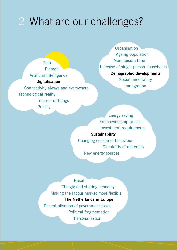# 2 What are our challenges?

Technological reality Fintech **Digitalisation** Connectivity always and everywhere Internet of things Artificial Intelligence Data

**Privacy** 

**Demographic developments** More leisure time **Urbanisation** Ageing population Increase of single-person households Social uncertainty Immigration

From ownership to use Energy saving Investment requirements

# **Sustainability**

Changing consumer behaviour New energy sources Circularity of materials

**Personalisation** Making the labour market more flexible Decentralisation of government tasks The gig and sharing economy Political fragmentation Brexit **The Netherlands in Europe**

**Dutch Banking Association 13** Big changes, new opportunities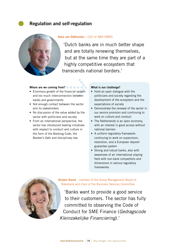# **Regulation and self-regulation**



#### **Kees van Dijkhuizen –** CEO of ABN AMRO

'Dutch banks are in much better shape and are totally renewing themselves, but at the same time they are part of a highly competitive ecosystem that transcends national borders.'

#### **Where are we coming from?**

- e cooperation • Enormous growth of the financial system and too much interconnection between banks and governments
- Not enough contact between the sector and its stakeholders
- No discussion of the value added by the sector with politicians and society
- • From an international perspective, the sector has introduced leading initiatives with respect to conduct and culture in the form of the Banking Code, the Banker's Oath and disciplinary law

#### **What is our challenge?**

- Hold an open dialogue with the politicians and society regarding the development of the ecosystem and the expectations of society
- Demonstrate the renewal of the sector in our service provision and continuing to work on culture and conduct
- The Netherlands is an open economy, with an interest in good access without national barriers
- A uniform regulatory framework: continuing to work on supervision, resolution, and a European deposit guarantee system
- Strong and robust banks, also with awareness of an international playing field with non-bank competitors and dimensions in various regulatory frameworks



**Kirsten Konst** – member of the Group Management Board of Rabobank and chair of the Business Services Committee

'Banks want to provide a good service to their customers. The sector has fully committed to observing the Code of Conduct for SME Finance (*Gedragscode Kleinzakelijke Financiering*).'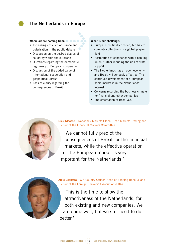# **The Netherlands in Europe**



#### **Where are we coming from?**

- Increasing criticism of Europe and polarisation in the public debate >
- Discussion on the desired degree of solidarity within the eurozone
- • Questions regarding the democratic legitimacy of European cooperation
- Discussion of the added value of international cooperation and geopolitical unrest
- Lack of clarity regarding the consequences of Brexit

#### **What is our challenge?**

- Europe is politically divided, but has to compete collectively in a global playing field
- Restoration of confidence with a banking union, further reducing the risk of state support
- The Netherlands has an open economy and Brexit will seriously affect us. The continued development of a European home market is in the Netherlands' interest
- Concerns regarding the business climate for financial and other companies
- Implementation of Basel 3.5



**Dick Klaasse** – Rabobank Markets Global Head Markets Trading and chair of the Financial Markets Committee

'We cannot fully predict the consequences of Brexit for the financial markets, while the effective operation of the European market is very important for the Netherlands.'



**Auke Leenstra** – Citi Country Officer, Head of Banking Benelux and chair of the Foreign Bankers' Association (FBA)

'This is the time to show the attractiveness of the Netherlands, for both existing and new companies. We are doing well, but we still need to do better.'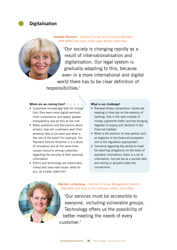# **Digitalisation**

**Hanneke Dorsman** – General Counsel and Company Secretary ABN AMRO and chair of the Legal Affairs Committee

'Our society is changing rapidly as a result of internationalisation and digitalisation. Our legal system is gradually adapting to this, because even in a more international and digital world there has to be clear definition of responsibilities.'

#### **Where are we coming from?**

- > • Customers increasingly look for innovation: they want more digital services, more convenience and speed, greater transparency and all this at low cost
- Many questions and discussions about privacy: how will customers want their personal data to be used and what is the role of the bank? For example, the Payment Service Directive 2 is a driver of innovation and at the same time causes concerns among customers regarding the security of their personal information
- Ethics and technology are inextricably linked and raise new issues: what do you, as a bank, stand for?

#### **What is our challenge?**

- Renewal drives competition: banks are keeping a close eye on the essence of banking, that is the safe custody of money, payments traffic and the bringing together of supply and demand in the financial markets
- What is the position of new parties such as bigtechs in the financial ecosystem and is the regulation appropriate?
- Concerns regarding the ability to meet far-reaching obligations on the basis of available information: there is a lot of information, but are we as a society able and willing to actually make the connections



**Mariëlle Lichtenberg** – member of Group Management Board of Rabobank and chair of the Consumer Affairs Committee

'Our services must be accessible to everyone, including vulnerable groups. Technology offers us the possibility of better meeting the needs of every customer.'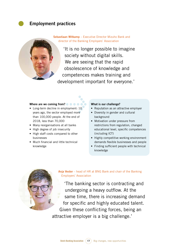**Employment practices**

**Sebastiaan Witkamp** – Executive Director Mizuho Bank and director of the Banking Employers' Association

'It is no longer possible to imagine society without digital skills. We are seeing that the rapid obsolescence of knowledge and competences makes training and development important for everyone.'

#### **Where are we coming from?**

- a<br> **b** a a a a a<br>
ployed more • Long-term decline in employment: 10 years ago, the sector employed more than 100,000 people. At the end of 2018, less than 70,000
- Many reorganisations at all banks
- High degree of job insecurity
- High staff costs compared to other businesses
- • Much financial and little technical knowledge

#### **What is our challenge?**

- Reputation as an attractive employer
- Diversity in gender and cultural background
- Motivation under pressure from restrictions from regulation, changed educational level, specific competences (including ICT)
- • Highly competitive working environment demands flexible businesses and people
- Finding sufficient people with technical knowledge



**Anja Vester** – head of HR at BNG Bank and chair of the Banking Employers' Association

'The banking sector is contracting and undergoing a heavy outflow. At the same time, there is increasing demand for specific and highly educated talent. Given these conflicting forces, being an attractive employer is a big challenge.'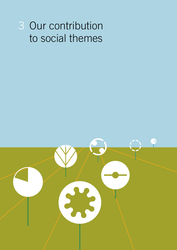# 3 Our contribution to social themes

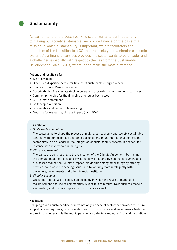## **Sustainability**

As part of its role, the Dutch banking sector wants to contribute fully to making our society sustainable: we provide finance on the basis of a mission in which sustainability is important, we are facilitators and promoters of the transition to a CO<sub>2</sub>-neutral society and a circular economic system. As a financial services provider, the sector wants to be a leader and a challenger, especially with respect to themes from the Sustainable Development Goals (SDGs) where it can make the most difference.

#### **Actions and results so far**

- • ICSR covenant
- Green Deal/Expertise centre for finance of sustainable energy projects
- Finance of Solar Panels Instrument
- Sustainability of real estate (incl. accelerated sustainability improvements to offices)
- Common principles for the financing of circular businesses
- CEO climate statement
- Spitsbergen Ambition
- Sustainable and responsible investing
- Methods for measuring climate impact (incl. PCAF)

#### **Our ambition**

*1 Sustainable competition*

The sector aims to shape the process of making our economy and society sustainable together with our customers and other stakeholders. In an international context, the sector aims to be a leader in the integration of sustainability aspects in finance, for instance with respect to human rights.

*2 Climate Agreement* 

The banks are contributing to the realisation of the Climate Agreement: by making the climate impact of loans and investments visible, and by helping consumers and businesses reduce their climate impact. We do this among other things by offering practical solutions for financing issues and by working more intelligently with customers, governments and other financial institutions.

*3 Circular economy*

We support initiatives to achieve an economy in which the reuse of materials is maximised and the use of commodities is kept to a minimum. New business models are needed, and this has implications for finance as well.

#### **Key issues**

Real progress on sustainability requires not only a financial sector that provides structural support, it also requires good cooperation with both customers and governments (national and regional - for example the municipal energy strategies) and other financial institutions.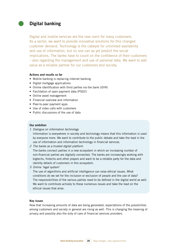# **Digital banking**

Digital and mobile services are the new norm for many customers. As a sector, we want to provide innovative solutions for this changed customer demand. Technology is the catalyst for unlimited availability and use of information, but no one can as yet predict the social implications. The banks have to count on the confidence of their customers – also regarding the management and use of personal data. We want to add value as a reliable partner for our customers and society.

#### **Actions and results so far**

- Mobile banking is replacing internet banking
- Digital mortgage applications
- Online identification with third parties via the bank (iDIN)
- Facilitation of open payment data (PSD2)
- Online asset management
- Financial overview and information
- Peer-to-peer payment apps
- Use of video calls with customers
- Public discussions of the use of data

#### **Our ambition**

*1 Dialogue on information technology*

Information is everywhere in society and technology means that this information is used by everyone more. We want to contribute to the public debate and take the lead in the use of information and information technology in financial services.

*2 The banks as a trusted digital platform*

The banks connect parties in a new ecosystem in which an increasing number of non-financial parties are digitally connected. The banks are increasingly working with bigtechs, fintechs and other players and want to be a reliable party for the data and identity details of customers in this ecosystem.

*3 Online 'legal system'*

The use of algorithms and artificial intelligence can raise ethical issues. What conditions do we set for the inclusion or exclusion of people and the use of data? The responsibilities of the various parties need to be defined in the digital world as well. We want to contribute actively to these numerous issues and take the lead on the ethical issues that arise.

#### **Key issues**

Now that increasing amounts of data are being generated, expectations of the possibilities among customers and society in general are rising as well. This is changing the meaning of privacy and possibly also the duty of care of financial services providers.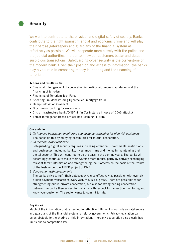# **Security**

We want to contribute to the physical and digital safety of society. Banks contribute to the fight against financial and economic crime and will play their part as gatekeepers and guardians of the financial system as effectively as possible. We will cooperate more closely with the police and the judicial authorities in order to know our customers better and detect suspicious transactions. Safeguarding cyber security is the cornerstone of the modern bank. Given their position and access to information, the banks play a vital role in combating money laundering and the financing of terrorism.

#### **Actions and results so far**

- Financial Intelligence Unit cooperation in dealing with money laundering and the financing of terrorism
- Financing of Terrorism Task Force
- Stichting Fraudebestrijding Hypotheken: mortgage fraud
- • Hemp Cultivation Covenant
- Brochure on banking for sex workers
- Crisis infrastructure banks/DNB/minfin (for instance in case of DDoS attacks)
- Threat Intelligence Based Ethical Red Teaming (TIBER)

#### **Our ambition**

- *1 To improve transaction monitoring and customer screening for high-risk customers* The banks do this by studying possibilities for mutual cooperation.
- *2 To increase cyber resilience*

Safeguarding digital security requires increasing attention. Governments, institutions and businesses, including banks, invest much time and money in maintaining their digital security. This will continue to be the case in the coming years. The banks will accordingly continue to make their systems more robust, partly by actively exchanging relevant threat information and strengthening their systems on the basis of the results of the tests under the TIBER project of DNB.

*3 Cooperation with governments*

The banks strive to fulfil their gatekeeper role as effectively as possible. With over six billion payment transactions every year, this is a big task. There are possibilities for strengthening public-private cooperation, but also for strengthening cooperation between the banks themselves, for instance with respect to transaction monitoring and know-your-customer. The sector wants to commit to this.

#### **Key issues**

Much of the information that is needed for effective fulfilment of our role as gatekeepers and guardians of the financial system is held by governments. Privacy legislation can be an obstacle to the sharing of this information. Interbank cooperation also clearly has limits due to competition law.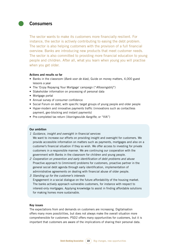## **Consumers**

The sector wants to make its customers more financially resilient. For instance, the sector is actively contributing to easing the debt problem. The sector is also helping customers with the provision of a full financial overview. Banks are introducing new products that meet customer needs. The sector is also committed to providing more financial education to young people and children. After all, what you learn when young you will practise when you get older.

#### **Actions and results so far**

- • Banks in the classroom (*Bank voor de klas*), Guide on money matters, 4,000 guest lessons a year
- The 'Enjoy Repaying Your Mortgage' campaign ("*Aflossingsblij*")
- Stakeholder information on processing of personal data
- Mortgage portal
- Annual survey of consumer confidence
- Social Forum on debt, with specific target groups of young people and older people
- Hyper-modern and innovative payments traffic (innovations such as contactless payment, geo-blocking and instant payments)
- • Pre-completed tax return (*Vooringevulde Aangifte*, or "VIA")

#### **Our ambition**

*1 Guidance, insight and oversight in financial services*

We want to increase our efforts on providing insight and oversight for customers. We provide accessible information on matters such as payments, mortgages and also on a customer's financial situation if they so wish. We offer access to investing for private customers in a responsible manner. We are continuing our cooperation with the government with Banks in the classroom for children and young people.

- *2 Cooperation on prevention and early identification of debt problems and abuse* Proactive approach to (imminent) problems for customers, proactive partner in the general social debt agenda through early identification, implementation of administrative agreements on dealing with financial abuse of older people.
- *3 Standing up for the customer's interests* Engagement in a social dialogue on the future affordability of the housing market. The banks actively approach vulnerable customers, for instance with respect to interest-only mortgages. Applying knowledge to assist in finding affordable solutions for making homes more sustainable.

#### **Key issues**

The expectations from and demands on customers are increasing. Digitalisation offers many more possibilities, but does not always make the overall situation more comprehensible for customers. PSD2 offers many opportunities for customers, but it is important that customers are aware of the implications of sharing their personal data.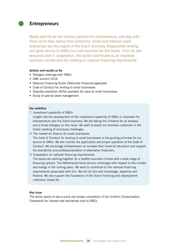## **Entrepreneurs**

Banks want to be the obvious partners for entrepreneurs, and stay with them while they realise their ambitions. Small and medium-sized enterprises are the engine of the Dutch economy. Responsible lending and good service to SMEs is a core business for the banks. From its own resources and in cooperation, the sector contributes to an improved business climate and the meeting of national financing requirements.

#### **Actions and results so far**

- Dialogue meetings with SMEs
- SME summit 2016
- • National Financing Guide (*Nationale Financieringswijzer*)
- Code of Conduct for lending to small businesses
- Disputes resolution (Kifid) available for loans to small businesses
- Study of special asset management

#### **Our ambition**

*1 Investment capability of SMEs*

Insight into the development of the investment capability of SMEs is important for entrepreneurs and the Dutch economy. We are taking the initiative for an analysis and a broad dialogue on this issue. We want to assist our business customers in the timely meeting of structural challenges.

- *2 The market for finance for small businesses* The Code of Conduct for lending to small businesses is the guiding principle for our service to SMEs. We will monitor the application and proper operation of the Code of Conduct. We encourage entrepreneurs to increase their financial education and support the availability and professionalisation of alternative financiers.
- *3 Cooperation on national financing requirements* The banks are working together for a healthy business climate with a wide range of financing options. The Netherlands faces serious challenges with respect to the climate and energy in the coming years. We want to contribute to the national financing requirements associated with this. We will do this with knowledge, expertise and finance. We also support the foundation of the Dutch financing and development institution Invest-NL.

#### **Key issue**

The sector wants to see a quick and proper completion of the Uniform Compensation Framework for interest-rate derivatives sold to SMEs.